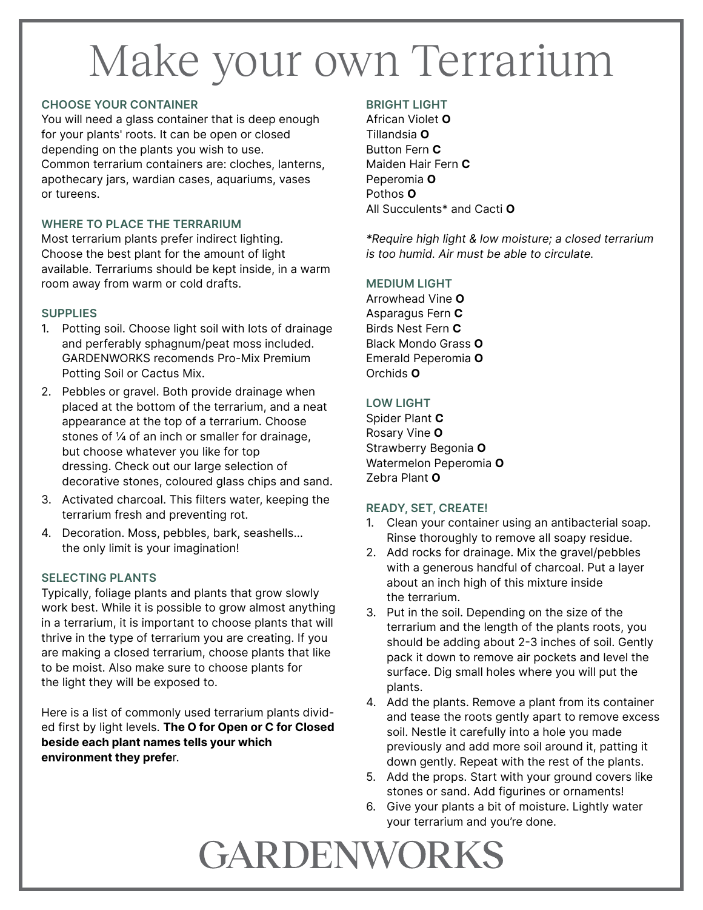# Make your own Terrarium

#### CHOOSE YOUR CONTAINER

You will need a glass container that is deep enough for your plants' roots. It can be open or closed depending on the plants you wish to use. Common terrarium containers are: cloches, lanterns, apothecary jars, wardian cases, aquariums, vases or tureens.

#### WHERE TO PLACE THE TERRARIUM

Most terrarium plants prefer indirect lighting. Choose the best plant for the amount of light available. Terrariums should be kept inside, in a warm room away from warm or cold drafts.

#### **SUPPLIES**

- 1. Potting soil. Choose light soil with lots of drainage and perferably sphagnum/peat moss included. GARDENWORKS recomends Pro-Mix Premium Potting Soil or Cactus Mix.
- 2. Pebbles or gravel. Both provide drainage when placed at the bottom of the terrarium, and a neat appearance at the top of a terrarium. Choose stones of ¼ of an inch or smaller for drainage, but choose whatever you like for top dressing. Check out our large selection of decorative stones, coloured glass chips and sand.
- 3. Activated charcoal. This filters water, keeping the terrarium fresh and preventing rot.
- 4. Decoration. Moss, pebbles, bark, seashells… the only limit is your imagination!

#### SELECTING PLANTS

Typically, foliage plants and plants that grow slowly work best. While it is possible to grow almost anything in a terrarium, it is important to choose plants that will thrive in the type of terrarium you are creating. If you are making a closed terrarium, choose plants that like to be moist. Also make sure to choose plants for the light they will be exposed to.

Here is a list of commonly used terrarium plants divided first by light levels. The O for Open or C for Closed beside each plant names tells your which environment they prefer.

#### BRIGHT LIGHT

African Violet O Tillandsia O Button Fern C Maiden Hair Fern C Peperomia O Pothos O All Succulents\* and Cacti O

\*Require high light & low moisture; a closed terrarium is too humid. Air must be able to circulate.

#### MEDIUM LIGHT

Arrowhead Vine O Asparagus Fern C Birds Nest Fern C Black Mondo Grass O Emerald Peperomia O Orchids O

#### LOW LIGHT

Spider Plant C Rosary Vine O Strawberry Begonia O Watermelon Peperomia O Zebra Plant O

#### READY, SET, CREATE!

- 1. Clean your container using an antibacterial soap. Rinse thoroughly to remove all soapy residue.
- 2. Add rocks for drainage. Mix the gravel/pebbles with a generous handful of charcoal. Put a layer about an inch high of this mixture inside the terrarium.
- 3. Put in the soil. Depending on the size of the terrarium and the length of the plants roots, you should be adding about 2-3 inches of soil. Gently pack it down to remove air pockets and level the surface. Dig small holes where you will put the plants.
- 4. Add the plants. Remove a plant from its container and tease the roots gently apart to remove excess soil. Nestle it carefully into a hole you made previously and add more soil around it, patting it down gently. Repeat with the rest of the plants.
- 5. Add the props. Start with your ground covers like stones or sand. Add figurines or ornaments!
- 6. Give your plants a bit of moisture. Lightly water your terrarium and you're done.

### GARDENWORKS